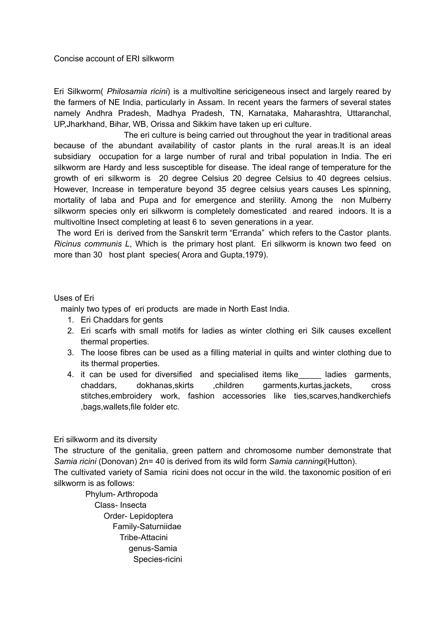## Concise account of ERI silkworm

Eri Silkworm( *Philosamia ricini*) is a multivoltine sericigeneous insect and largely reared by the farmers of NE India, particularly in Assam. In recent years the farmers of several states namely Andhra Pradesh, Madhya Pradesh, TN, Karnataka, Maharashtra, Uttaranchal, UP,Jharkhand, Bihar, WB, Orissa and Sikkim have taken up eri culture.

The eri culture is being carried out throughout the year in traditional areas because of the abundant availability of castor plants in the rural areas.It is an ideal subsidiary occupation for a large number of rural and tribal population in India. The eri silkworm are Hardy and less susceptible for disease. The ideal range of temperature for the growth of eri silkworm is 20 degree Celsius 20 degree Celsius to 40 degrees celsius. However, Increase in temperature beyond 35 degree celsius years causes Les spinning, mortality of laba and Pupa and for emergence and sterility. Among the non Mulberry silkworm species only eri silkworm is completely domesticated and reared indoors. It is a multivoltine Insect completing at least 6 to seven generations in a year.

The word Eri is derived from the Sanskrit term "Erranda" which refers to the Castor plants. *Ricinus communis L*, Which is the primary host plant. Eri silkworm is known two feed on more than 30 host plant species( Arora and Gupta,1979).

## Uses of Eri

mainly two types of eri products are made in North East India.

- 1. Eri Chaddars for gents
- 2. Eri scarfs with small motifs for ladies as winter clothing eri Silk causes excellent thermal properties.
- 3. The loose fibres can be used as a filling material in quilts and winter clothing due to its thermal properties.
- 4. it can be used for diversified and specialised items like ladies garments, chaddars, dokhanas,skirts ,children garments,kurtas,jackets, cross stitches,embroidery work, fashion accessories like ties,scarves,handkerchiefs ,bags,wallets,file folder etc.

Eri silkworm and its diversity

The structure of the genitalia, green pattern and chromosome number demonstrate that *Samia ricini* (Donovan) 2n= 40 is derived from its wild form *Samia canningi*(Hutton).

The cultivated variety of Samia ricini does not occur in the wild. the taxonomic position of eri silkworm is as follows:

Phylum- Arthropoda Class- Insecta Order- Lepidoptera Family-Saturniidae Tribe-Attacini genus-Samia Species-ricini